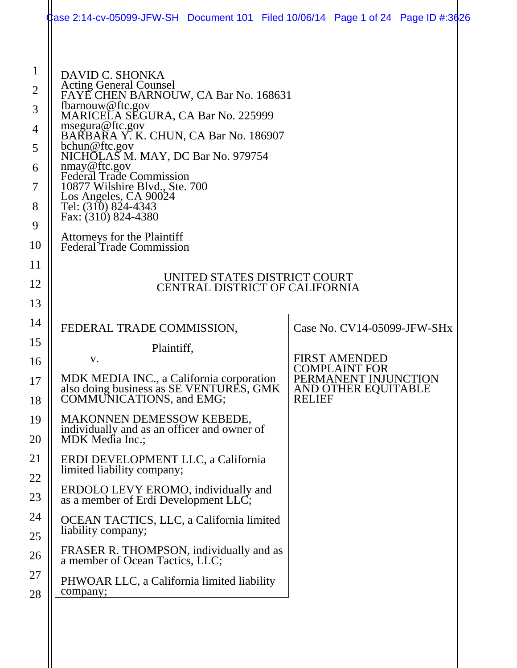|                                                                   | $\,\rm{Q}$ ase 2:14-cv-05099-JFW-SH $\,$ Document 101 $\,$ Filed 10/06/14 $\,$ Page 1 of 24 $\,$ Page ID #:3626 $\,$                                                                                                                                                                                                                                                                                                      |               |                                                                                             |  |  |  |  |  |
|-------------------------------------------------------------------|---------------------------------------------------------------------------------------------------------------------------------------------------------------------------------------------------------------------------------------------------------------------------------------------------------------------------------------------------------------------------------------------------------------------------|---------------|---------------------------------------------------------------------------------------------|--|--|--|--|--|
| $\mathbf{1}$<br>$\overline{2}$<br>3<br>4<br>5<br>6<br>7<br>8<br>9 | DAVID C. SHONKA<br>Acting General Counsel<br>FAYE CHEN BARNOUW, CA Bar No. 168631<br>fbarnouw@ftc.gov<br>MARICELA SEGURA, CA Bar No. 225999<br>msegura@ftc.gov<br>BARBARA Y.K. CHUN, CA Bar No. 186907<br>bchun@ftc.gov<br>NICHOLAS M. MAY, DC Bar No. 979754<br>nmay@ftc.gov<br><b>Federal Trade Commission</b><br>10877 Wilshire Blvd., Ste. 700<br>Los Angeles, CA 90024<br>Tel: (310) 824-4343<br>Fax: (310) 824-4380 |               |                                                                                             |  |  |  |  |  |
| 10                                                                | Attorneys for the Plaintiff<br><b>Federal Trade Commission</b>                                                                                                                                                                                                                                                                                                                                                            |               |                                                                                             |  |  |  |  |  |
| 11<br>12<br>13                                                    | UNITED STATES DISTRICT COURT<br><b>CENTRAL DISTRICT OF CALIFORNIA</b>                                                                                                                                                                                                                                                                                                                                                     |               |                                                                                             |  |  |  |  |  |
| 14<br>15                                                          | FEDERAL TRADE COMMISSION,<br>Plaintiff,                                                                                                                                                                                                                                                                                                                                                                                   |               | Case No. CV14-05099-JFW-SHx                                                                 |  |  |  |  |  |
| 16<br>17<br>18                                                    | V.<br>MDK MEDIA INC., a California corporation<br>also doing business as SE VENTURES, GMK<br>COMMUNICATIONS, and EMG;                                                                                                                                                                                                                                                                                                     | <b>RELIEF</b> | <b>FIRST AMENDED</b><br><b>COMPLAINT FOR</b><br>PERMANENT INJUNCTION<br>AND OTHER EQUITABLE |  |  |  |  |  |
| 19<br>20                                                          | <b>MAKONNEN DEMESSOW KEBEDE,</b><br>individually and as an officer and owner of<br>MDK Media Inc.;                                                                                                                                                                                                                                                                                                                        |               |                                                                                             |  |  |  |  |  |
| 21<br>22                                                          | ERDI DEVELOPMENT LLC, a California<br>limited liability company;                                                                                                                                                                                                                                                                                                                                                          |               |                                                                                             |  |  |  |  |  |
| 23                                                                | ERDOLO LEVY EROMO, individually and<br>as a member of Erdi Development LLC;                                                                                                                                                                                                                                                                                                                                               |               |                                                                                             |  |  |  |  |  |
| 24<br>25                                                          | OCEAN TACTICS, LLC, a California limited<br>liability company;                                                                                                                                                                                                                                                                                                                                                            |               |                                                                                             |  |  |  |  |  |
| 26                                                                | FRASER R. THOMPSON, individually and as<br>a member of Ocean Tactics, LLC;                                                                                                                                                                                                                                                                                                                                                |               |                                                                                             |  |  |  |  |  |
| 27<br>28                                                          | PHWOAR LLC, a California limited liability<br>company;                                                                                                                                                                                                                                                                                                                                                                    |               |                                                                                             |  |  |  |  |  |
|                                                                   |                                                                                                                                                                                                                                                                                                                                                                                                                           |               |                                                                                             |  |  |  |  |  |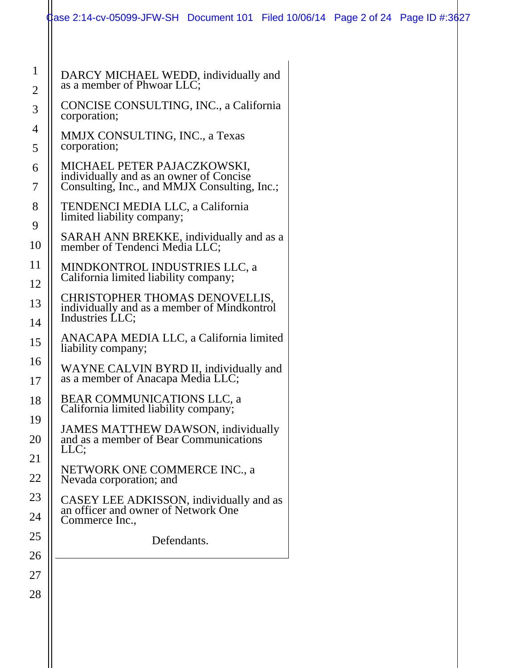|                                | Case 2:14-cv-05099-JFW-SH Document 101 Filed 10/06/14 Page 2 of 24 Page ID #:3627                                      |  |  |
|--------------------------------|------------------------------------------------------------------------------------------------------------------------|--|--|
|                                |                                                                                                                        |  |  |
| $\mathbf{1}$<br>$\overline{2}$ | DARCY MICHAEL WEDD, individually and<br>as a member of Phwoar LLC;                                                     |  |  |
| 3                              | CONCISE CONSULTING, INC., a California<br>corporation;                                                                 |  |  |
| 4<br>5                         | MMJX CONSULTING, INC., a Texas<br>corporation;                                                                         |  |  |
| 6<br>7                         | MICHAEL PETER PAJACZKOWSKI,<br>individually and as an owner of Concise<br>Consulting, Inc., and MMJX Consulting, Inc.; |  |  |
| 8<br>9                         | TENDENCI MEDIA LLC, a California<br>limited liability company;                                                         |  |  |
| 10                             | SARAH ANN BREKKE, individually and as a<br>member of Tendenci Media LLC;                                               |  |  |
| 11<br>12                       | MINDKONTROL INDUSTRIES LLC, a<br>California limited liability company;                                                 |  |  |
| 13<br>14                       | CHRISTOPHER THOMAS DENOVELLIS,<br>individually and as a member of Mindkontrol<br>Industries LLC;                       |  |  |
| 15                             | ANACAPA MEDIA LLC, a California limited<br>liability company;                                                          |  |  |
| 16<br>17                       | WAYNE CALVIN BYRD II, individually and<br>as a member of Anacapa Media LLC;                                            |  |  |
| 18                             | BEAR COMMUNICATIONS LLC, a<br>California limited liability company;                                                    |  |  |
| 19<br>20                       | <b>JAMES MATTHEW DAWSON, individually</b><br>and as a member of Bear Communications<br>LLC;                            |  |  |
| 21<br>22                       | NETWORK ONE COMMERCE INC., a<br>Nevada corporation; and                                                                |  |  |
| 23<br>24                       | CASEY LEE ADKISSON, individually and as<br>an officer and owner of Network One<br>Commerce Inc.,                       |  |  |
| 25                             | Defendants.                                                                                                            |  |  |
| 26<br>27                       |                                                                                                                        |  |  |
| 28                             |                                                                                                                        |  |  |
|                                |                                                                                                                        |  |  |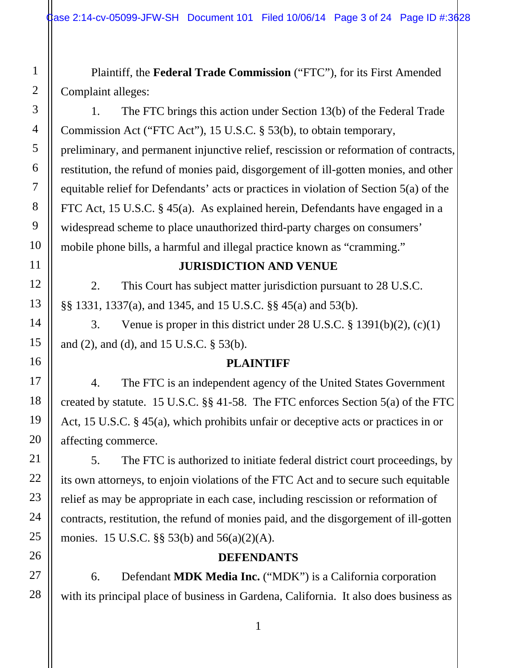Plaintiff, the **Federal Trade Commission** ("FTC"), for its First Amended Complaint alleges:

1. The FTC brings this action under Section 13(b) of the Federal Trade Commission Act ("FTC Act"), 15 U.S.C. § 53(b), to obtain temporary, preliminary, and permanent injunctive relief, rescission or reformation of contracts, restitution, the refund of monies paid, disgorgement of ill-gotten monies, and other equitable relief for Defendants' acts or practices in violation of Section 5(a) of the FTC Act, 15 U.S.C. § 45(a). As explained herein, Defendants have engaged in a widespread scheme to place unauthorized third-party charges on consumers' mobile phone bills, a harmful and illegal practice known as "cramming."

#### **JURISDICTION AND VENUE**

2. This Court has subject matter jurisdiction pursuant to 28 U.S.C. §§ 1331, 1337(a), and 1345, and 15 U.S.C. §§ 45(a) and 53(b).

3. Venue is proper in this district under 28 U.S.C. § 1391(b)(2), (c)(1) and (2), and (d), and 15 U.S.C. § 53(b).

#### **PLAINTIFF**

4. The FTC is an independent agency of the United States Government created by statute. 15 U.S.C. §§ 41-58. The FTC enforces Section 5(a) of the FTC Act, 15 U.S.C. § 45(a), which prohibits unfair or deceptive acts or practices in or affecting commerce.

5. The FTC is authorized to initiate federal district court proceedings, by its own attorneys, to enjoin violations of the FTC Act and to secure such equitable relief as may be appropriate in each case, including rescission or reformation of contracts, restitution, the refund of monies paid, and the disgorgement of ill-gotten monies. 15 U.S.C. §§ 53(b) and 56(a)(2)(A).

#### **DEFENDANTS**

6. Defendant **MDK Media Inc.** ("MDK") is a California corporation with its principal place of business in Gardena, California. It also does business as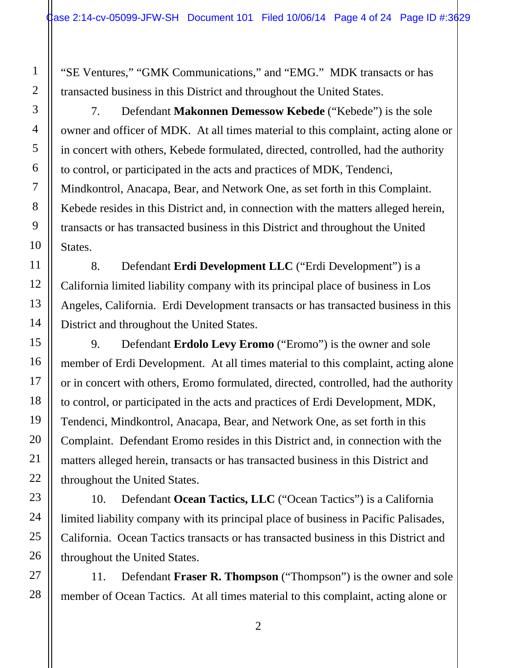"SE Ventures," "GMK Communications," and "EMG." MDK transacts or has transacted business in this District and throughout the United States.

7. Defendant **Makonnen Demessow Kebede** ("Kebede") is the sole owner and officer of MDK. At all times material to this complaint, acting alone or in concert with others, Kebede formulated, directed, controlled, had the authority to control, or participated in the acts and practices of MDK, Tendenci, Mindkontrol, Anacapa, Bear, and Network One, as set forth in this Complaint. Kebede resides in this District and, in connection with the matters alleged herein, transacts or has transacted business in this District and throughout the United States.

8. Defendant **Erdi Development LLC** ("Erdi Development") is a California limited liability company with its principal place of business in Los Angeles, California. Erdi Development transacts or has transacted business in this District and throughout the United States.

9. Defendant **Erdolo Levy Eromo** ("Eromo") is the owner and sole member of Erdi Development. At all times material to this complaint, acting alone or in concert with others, Eromo formulated, directed, controlled, had the authority to control, or participated in the acts and practices of Erdi Development, MDK, Tendenci, Mindkontrol, Anacapa, Bear, and Network One, as set forth in this Complaint. Defendant Eromo resides in this District and, in connection with the matters alleged herein, transacts or has transacted business in this District and throughout the United States.

10. Defendant **Ocean Tactics, LLC** ("Ocean Tactics") is a California limited liability company with its principal place of business in Pacific Palisades, California. Ocean Tactics transacts or has transacted business in this District and throughout the United States.

11. Defendant **Fraser R. Thompson** ("Thompson") is the owner and sole member of Ocean Tactics. At all times material to this complaint, acting alone or

28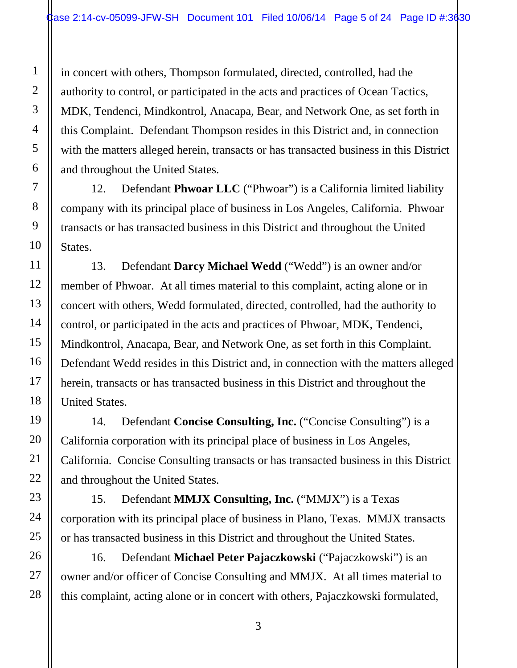in concert with others, Thompson formulated, directed, controlled, had the authority to control, or participated in the acts and practices of Ocean Tactics, MDK, Tendenci, Mindkontrol, Anacapa, Bear, and Network One, as set forth in this Complaint. Defendant Thompson resides in this District and, in connection with the matters alleged herein, transacts or has transacted business in this District and throughout the United States.

12. Defendant **Phwoar LLC** ("Phwoar") is a California limited liability company with its principal place of business in Los Angeles, California. Phwoar transacts or has transacted business in this District and throughout the United States.

13. Defendant **Darcy Michael Wedd** ("Wedd") is an owner and/or member of Phwoar. At all times material to this complaint, acting alone or in concert with others, Wedd formulated, directed, controlled, had the authority to control, or participated in the acts and practices of Phwoar, MDK, Tendenci, Mindkontrol, Anacapa, Bear, and Network One, as set forth in this Complaint. Defendant Wedd resides in this District and, in connection with the matters alleged herein, transacts or has transacted business in this District and throughout the United States.

14. Defendant **Concise Consulting, Inc.** ("Concise Consulting") is a California corporation with its principal place of business in Los Angeles, California. Concise Consulting transacts or has transacted business in this District and throughout the United States.

15. Defendant **MMJX Consulting, Inc.** ("MMJX") is a Texas corporation with its principal place of business in Plano, Texas. MMJX transacts or has transacted business in this District and throughout the United States.

16. Defendant **Michael Peter Pajaczkowski** ("Pajaczkowski") is an owner and/or officer of Concise Consulting and MMJX. At all times material to this complaint, acting alone or in concert with others, Pajaczkowski formulated,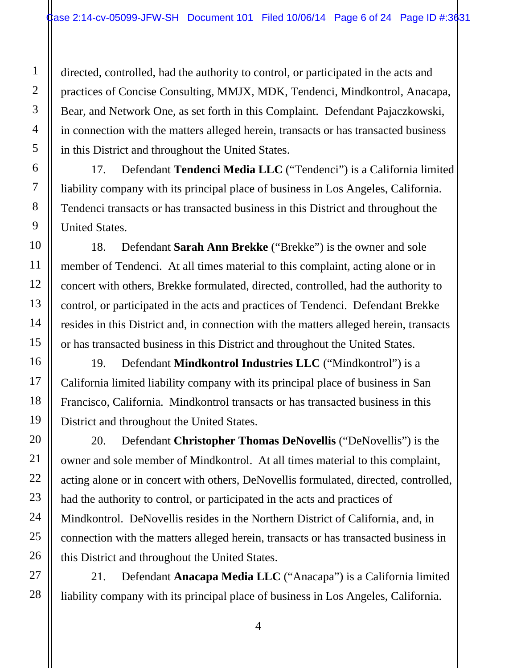directed, controlled, had the authority to control, or participated in the acts and practices of Concise Consulting, MMJX, MDK, Tendenci, Mindkontrol, Anacapa, Bear, and Network One, as set forth in this Complaint. Defendant Pajaczkowski, in connection with the matters alleged herein, transacts or has transacted business in this District and throughout the United States.

17. Defendant **Tendenci Media LLC** ("Tendenci") is a California limited liability company with its principal place of business in Los Angeles, California. Tendenci transacts or has transacted business in this District and throughout the United States.

18. Defendant **Sarah Ann Brekke** ("Brekke") is the owner and sole member of Tendenci. At all times material to this complaint, acting alone or in concert with others, Brekke formulated, directed, controlled, had the authority to control, or participated in the acts and practices of Tendenci. Defendant Brekke resides in this District and, in connection with the matters alleged herein, transacts or has transacted business in this District and throughout the United States.

19. Defendant **Mindkontrol Industries LLC** ("Mindkontrol") is a California limited liability company with its principal place of business in San Francisco, California. Mindkontrol transacts or has transacted business in this District and throughout the United States.

20. Defendant **Christopher Thomas DeNovellis** ("DeNovellis") is the owner and sole member of Mindkontrol. At all times material to this complaint, acting alone or in concert with others, DeNovellis formulated, directed, controlled, had the authority to control, or participated in the acts and practices of Mindkontrol. DeNovellis resides in the Northern District of California, and, in connection with the matters alleged herein, transacts or has transacted business in this District and throughout the United States.

21. Defendant **Anacapa Media LLC** ("Anacapa") is a California limited liability company with its principal place of business in Los Angeles, California.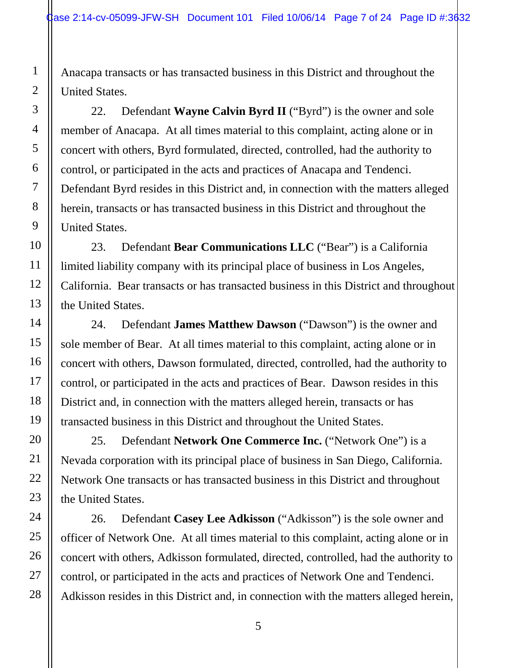Anacapa transacts or has transacted business in this District and throughout the United States.

22. Defendant **Wayne Calvin Byrd II** ("Byrd") is the owner and sole member of Anacapa. At all times material to this complaint, acting alone or in concert with others, Byrd formulated, directed, controlled, had the authority to control, or participated in the acts and practices of Anacapa and Tendenci. Defendant Byrd resides in this District and, in connection with the matters alleged herein, transacts or has transacted business in this District and throughout the United States.

23. Defendant **Bear Communications LLC** ("Bear") is a California limited liability company with its principal place of business in Los Angeles, California. Bear transacts or has transacted business in this District and throughout the United States.

24. Defendant **James Matthew Dawson** ("Dawson") is the owner and sole member of Bear. At all times material to this complaint, acting alone or in concert with others, Dawson formulated, directed, controlled, had the authority to control, or participated in the acts and practices of Bear. Dawson resides in this District and, in connection with the matters alleged herein, transacts or has transacted business in this District and throughout the United States.

25. Defendant **Network One Commerce Inc.** ("Network One") is a Nevada corporation with its principal place of business in San Diego, California. Network One transacts or has transacted business in this District and throughout the United States.

26. Defendant **Casey Lee Adkisson** ("Adkisson") is the sole owner and officer of Network One. At all times material to this complaint, acting alone or in concert with others, Adkisson formulated, directed, controlled, had the authority to control, or participated in the acts and practices of Network One and Tendenci. Adkisson resides in this District and, in connection with the matters alleged herein,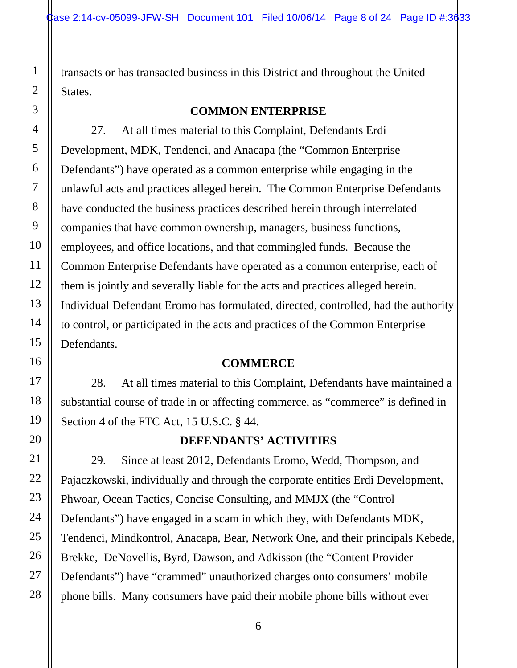transacts or has transacted business in this District and throughout the United States.

#### **COMMON ENTERPRISE**

27. At all times material to this Complaint, Defendants Erdi Development, MDK, Tendenci, and Anacapa (the "Common Enterprise Defendants") have operated as a common enterprise while engaging in the unlawful acts and practices alleged herein. The Common Enterprise Defendants have conducted the business practices described herein through interrelated companies that have common ownership, managers, business functions, employees, and office locations, and that commingled funds. Because the Common Enterprise Defendants have operated as a common enterprise, each of them is jointly and severally liable for the acts and practices alleged herein. Individual Defendant Eromo has formulated, directed, controlled, had the authority to control, or participated in the acts and practices of the Common Enterprise Defendants.

### **COMMERCE**

28. At all times material to this Complaint, Defendants have maintained a substantial course of trade in or affecting commerce, as "commerce" is defined in Section 4 of the FTC Act, 15 U.S.C. § 44.

### **DEFENDANTS' ACTIVITIES**

29. Since at least 2012, Defendants Eromo, Wedd, Thompson, and Pajaczkowski, individually and through the corporate entities Erdi Development, Phwoar, Ocean Tactics, Concise Consulting, and MMJX (the "Control Defendants") have engaged in a scam in which they, with Defendants MDK, Tendenci, Mindkontrol, Anacapa, Bear, Network One, and their principals Kebede, Brekke, DeNovellis, Byrd, Dawson, and Adkisson (the "Content Provider Defendants") have "crammed" unauthorized charges onto consumers' mobile phone bills. Many consumers have paid their mobile phone bills without ever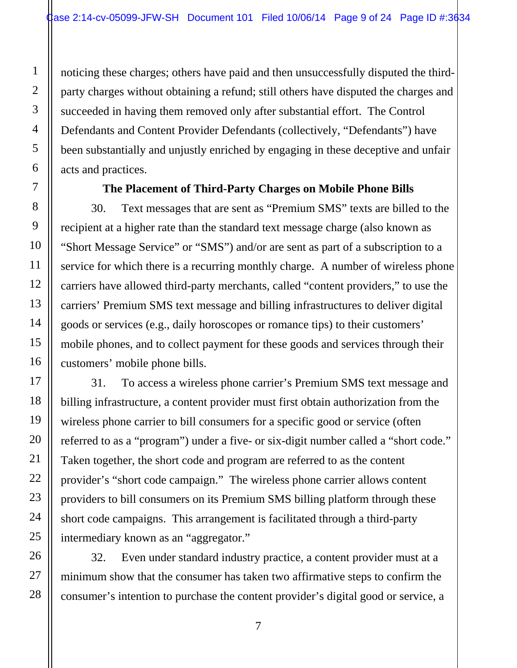noticing these charges; others have paid and then unsuccessfully disputed the thirdparty charges without obtaining a refund; still others have disputed the charges and succeeded in having them removed only after substantial effort. The Control Defendants and Content Provider Defendants (collectively, "Defendants") have been substantially and unjustly enriched by engaging in these deceptive and unfair acts and practices.

#### **The Placement of Third-Party Charges on Mobile Phone Bills**

30. Text messages that are sent as "Premium SMS" texts are billed to the recipient at a higher rate than the standard text message charge (also known as "Short Message Service" or "SMS") and/or are sent as part of a subscription to a service for which there is a recurring monthly charge. A number of wireless phone carriers have allowed third-party merchants, called "content providers," to use the carriers' Premium SMS text message and billing infrastructures to deliver digital goods or services (e.g., daily horoscopes or romance tips) to their customers' mobile phones, and to collect payment for these goods and services through their customers' mobile phone bills.

31. To access a wireless phone carrier's Premium SMS text message and billing infrastructure, a content provider must first obtain authorization from the wireless phone carrier to bill consumers for a specific good or service (often referred to as a "program") under a five- or six-digit number called a "short code." Taken together, the short code and program are referred to as the content provider's "short code campaign." The wireless phone carrier allows content providers to bill consumers on its Premium SMS billing platform through these short code campaigns. This arrangement is facilitated through a third-party intermediary known as an "aggregator."

32. Even under standard industry practice, a content provider must at a minimum show that the consumer has taken two affirmative steps to confirm the consumer's intention to purchase the content provider's digital good or service, a

1

2

3

4

5

6

7

8

9

10

11

12

13

14

15

16

17

18

19

20

21

22

23

24

25

26

27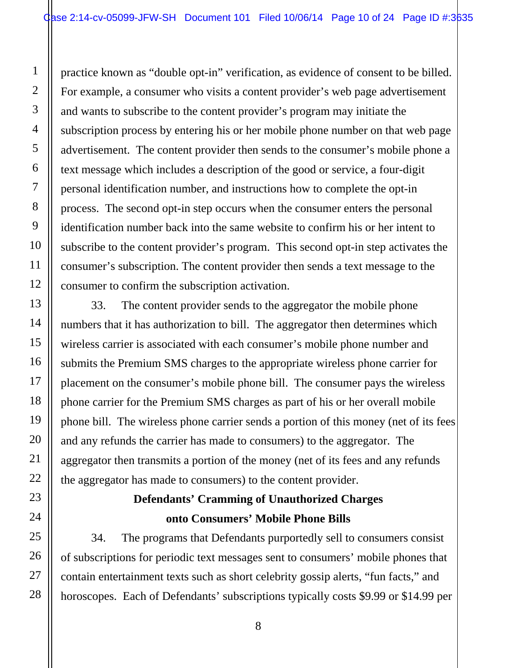practice known as "double opt-in" verification, as evidence of consent to be billed. For example, a consumer who visits a content provider's web page advertisement and wants to subscribe to the content provider's program may initiate the subscription process by entering his or her mobile phone number on that web page advertisement. The content provider then sends to the consumer's mobile phone a text message which includes a description of the good or service, a four-digit personal identification number, and instructions how to complete the opt-in process. The second opt-in step occurs when the consumer enters the personal identification number back into the same website to confirm his or her intent to subscribe to the content provider's program. This second opt-in step activates the consumer's subscription. The content provider then sends a text message to the consumer to confirm the subscription activation.

33. The content provider sends to the aggregator the mobile phone numbers that it has authorization to bill. The aggregator then determines which wireless carrier is associated with each consumer's mobile phone number and submits the Premium SMS charges to the appropriate wireless phone carrier for placement on the consumer's mobile phone bill. The consumer pays the wireless phone carrier for the Premium SMS charges as part of his or her overall mobile phone bill. The wireless phone carrier sends a portion of this money (net of its fees and any refunds the carrier has made to consumers) to the aggregator. The aggregator then transmits a portion of the money (net of its fees and any refunds the aggregator has made to consumers) to the content provider.

# **Defendants' Cramming of Unauthorized Charges onto Consumers' Mobile Phone Bills**

34. The programs that Defendants purportedly sell to consumers consist of subscriptions for periodic text messages sent to consumers' mobile phones that contain entertainment texts such as short celebrity gossip alerts, "fun facts," and horoscopes. Each of Defendants' subscriptions typically costs \$9.99 or \$14.99 per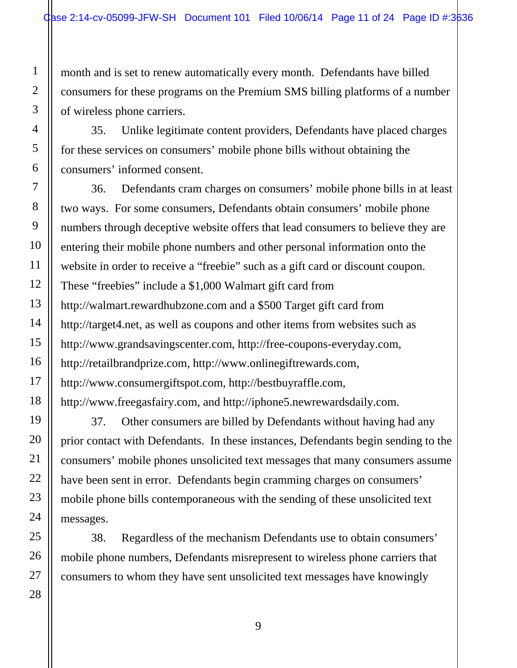month and is set to renew automatically every month. Defendants have billed consumers for these programs on the Premium SMS billing platforms of a number of wireless phone carriers.

35. Unlike legitimate content providers, Defendants have placed charges for these services on consumers' mobile phone bills without obtaining the consumers' informed consent.

36. Defendants cram charges on consumers' mobile phone bills in at least two ways. For some consumers, Defendants obtain consumers' mobile phone numbers through deceptive website offers that lead consumers to believe they are entering their mobile phone numbers and other personal information onto the website in order to receive a "freebie" such as a gift card or discount coupon. These "freebies" include a \$1,000 Walmart gift card from http://walmart.rewardhubzone.com and a \$500 Target gift card from http://target4.net, as well as coupons and other items from websites such as http://www.grandsavingscenter.com, http://free-coupons-everyday.com, http://retailbrandprize.com, http://www.onlinegiftrewards.com, http://www.consumergiftspot.com, http://bestbuyraffle.com, http://www.freegasfairy.com, and http://iphone5.newrewardsdaily.com.

37. Other consumers are billed by Defendants without having had any prior contact with Defendants. In these instances, Defendants begin sending to the consumers' mobile phones unsolicited text messages that many consumers assume have been sent in error. Defendants begin cramming charges on consumers' mobile phone bills contemporaneous with the sending of these unsolicited text messages.

38. Regardless of the mechanism Defendants use to obtain consumers' mobile phone numbers, Defendants misrepresent to wireless phone carriers that consumers to whom they have sent unsolicited text messages have knowingly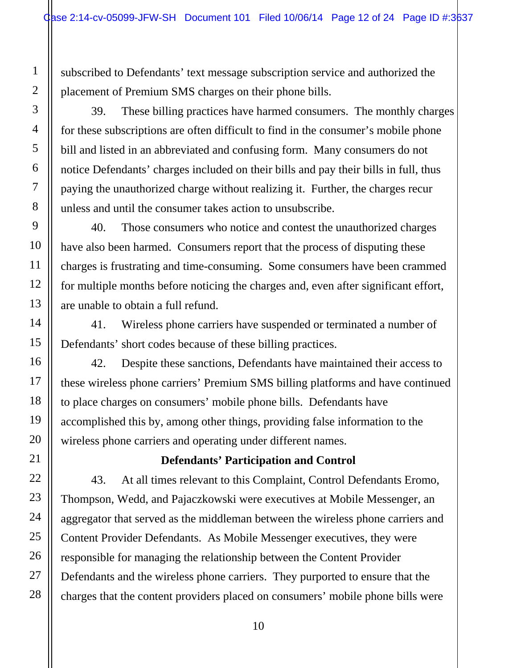subscribed to Defendants' text message subscription service and authorized the placement of Premium SMS charges on their phone bills.

39. These billing practices have harmed consumers. The monthly charges for these subscriptions are often difficult to find in the consumer's mobile phone bill and listed in an abbreviated and confusing form. Many consumers do not notice Defendants' charges included on their bills and pay their bills in full, thus paying the unauthorized charge without realizing it. Further, the charges recur unless and until the consumer takes action to unsubscribe.

40. Those consumers who notice and contest the unauthorized charges have also been harmed. Consumers report that the process of disputing these charges is frustrating and time-consuming. Some consumers have been crammed for multiple months before noticing the charges and, even after significant effort, are unable to obtain a full refund.

41. Wireless phone carriers have suspended or terminated a number of Defendants' short codes because of these billing practices.

42. Despite these sanctions, Defendants have maintained their access to these wireless phone carriers' Premium SMS billing platforms and have continued to place charges on consumers' mobile phone bills. Defendants have accomplished this by, among other things, providing false information to the wireless phone carriers and operating under different names.

## **Defendants' Participation and Control**

43. At all times relevant to this Complaint, Control Defendants Eromo, Thompson, Wedd, and Pajaczkowski were executives at Mobile Messenger, an aggregator that served as the middleman between the wireless phone carriers and Content Provider Defendants. As Mobile Messenger executives, they were responsible for managing the relationship between the Content Provider Defendants and the wireless phone carriers. They purported to ensure that the charges that the content providers placed on consumers' mobile phone bills were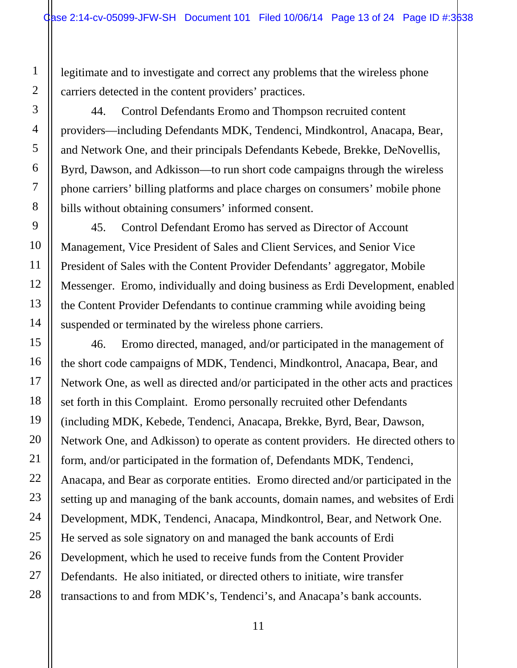legitimate and to investigate and correct any problems that the wireless phone carriers detected in the content providers' practices.

44. Control Defendants Eromo and Thompson recruited content providers—including Defendants MDK, Tendenci, Mindkontrol, Anacapa, Bear, and Network One, and their principals Defendants Kebede, Brekke, DeNovellis, Byrd, Dawson, and Adkisson—to run short code campaigns through the wireless phone carriers' billing platforms and place charges on consumers' mobile phone bills without obtaining consumers' informed consent.

45. Control Defendant Eromo has served as Director of Account Management, Vice President of Sales and Client Services, and Senior Vice President of Sales with the Content Provider Defendants' aggregator, Mobile Messenger. Eromo, individually and doing business as Erdi Development, enabled the Content Provider Defendants to continue cramming while avoiding being suspended or terminated by the wireless phone carriers.

46. Eromo directed, managed, and/or participated in the management of the short code campaigns of MDK, Tendenci, Mindkontrol, Anacapa, Bear, and Network One, as well as directed and/or participated in the other acts and practices set forth in this Complaint. Eromo personally recruited other Defendants (including MDK, Kebede, Tendenci, Anacapa, Brekke, Byrd, Bear, Dawson, Network One, and Adkisson) to operate as content providers. He directed others to form, and/or participated in the formation of, Defendants MDK, Tendenci, Anacapa, and Bear as corporate entities. Eromo directed and/or participated in the setting up and managing of the bank accounts, domain names, and websites of Erdi Development, MDK, Tendenci, Anacapa, Mindkontrol, Bear, and Network One. He served as sole signatory on and managed the bank accounts of Erdi Development, which he used to receive funds from the Content Provider Defendants. He also initiated, or directed others to initiate, wire transfer transactions to and from MDK's, Tendenci's, and Anacapa's bank accounts.

28

1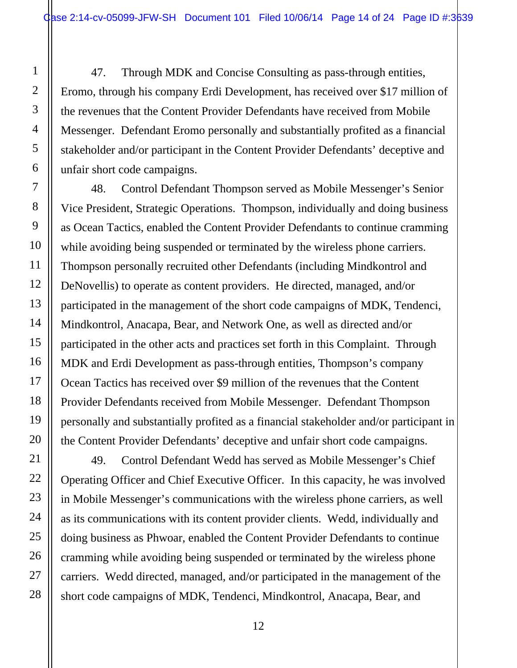47. Through MDK and Concise Consulting as pass-through entities, Eromo, through his company Erdi Development, has received over \$17 million of the revenues that the Content Provider Defendants have received from Mobile Messenger. Defendant Eromo personally and substantially profited as a financial stakeholder and/or participant in the Content Provider Defendants' deceptive and unfair short code campaigns.

48. Control Defendant Thompson served as Mobile Messenger's Senior Vice President, Strategic Operations. Thompson, individually and doing business as Ocean Tactics, enabled the Content Provider Defendants to continue cramming while avoiding being suspended or terminated by the wireless phone carriers. Thompson personally recruited other Defendants (including Mindkontrol and DeNovellis) to operate as content providers. He directed, managed, and/or participated in the management of the short code campaigns of MDK, Tendenci, Mindkontrol, Anacapa, Bear, and Network One, as well as directed and/or participated in the other acts and practices set forth in this Complaint. Through MDK and Erdi Development as pass-through entities, Thompson's company Ocean Tactics has received over \$9 million of the revenues that the Content Provider Defendants received from Mobile Messenger. Defendant Thompson personally and substantially profited as a financial stakeholder and/or participant in the Content Provider Defendants' deceptive and unfair short code campaigns.

49. Control Defendant Wedd has served as Mobile Messenger's Chief Operating Officer and Chief Executive Officer. In this capacity, he was involved in Mobile Messenger's communications with the wireless phone carriers, as well as its communications with its content provider clients. Wedd, individually and doing business as Phwoar, enabled the Content Provider Defendants to continue cramming while avoiding being suspended or terminated by the wireless phone carriers. Wedd directed, managed, and/or participated in the management of the short code campaigns of MDK, Tendenci, Mindkontrol, Anacapa, Bear, and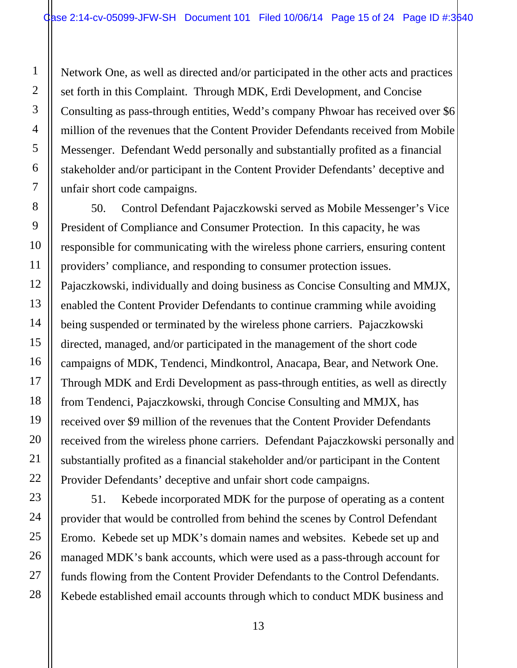Network One, as well as directed and/or participated in the other acts and practices set forth in this Complaint. Through MDK, Erdi Development, and Concise Consulting as pass-through entities, Wedd's company Phwoar has received over \$6 million of the revenues that the Content Provider Defendants received from Mobile Messenger. Defendant Wedd personally and substantially profited as a financial stakeholder and/or participant in the Content Provider Defendants' deceptive and unfair short code campaigns.

1

2

3

4

5

6

7

8

9

10

11

12

13

14

15

16

17

18

19

20

21

22

23

24

25

26

27

28

50. Control Defendant Pajaczkowski served as Mobile Messenger's Vice President of Compliance and Consumer Protection. In this capacity, he was responsible for communicating with the wireless phone carriers, ensuring content providers' compliance, and responding to consumer protection issues. Pajaczkowski, individually and doing business as Concise Consulting and MMJX, enabled the Content Provider Defendants to continue cramming while avoiding being suspended or terminated by the wireless phone carriers. Pajaczkowski directed, managed, and/or participated in the management of the short code campaigns of MDK, Tendenci, Mindkontrol, Anacapa, Bear, and Network One. Through MDK and Erdi Development as pass-through entities, as well as directly from Tendenci, Pajaczkowski, through Concise Consulting and MMJX, has received over \$9 million of the revenues that the Content Provider Defendants received from the wireless phone carriers. Defendant Pajaczkowski personally and substantially profited as a financial stakeholder and/or participant in the Content Provider Defendants' deceptive and unfair short code campaigns.

51. Kebede incorporated MDK for the purpose of operating as a content provider that would be controlled from behind the scenes by Control Defendant Eromo. Kebede set up MDK's domain names and websites. Kebede set up and managed MDK's bank accounts, which were used as a pass-through account for funds flowing from the Content Provider Defendants to the Control Defendants. Kebede established email accounts through which to conduct MDK business and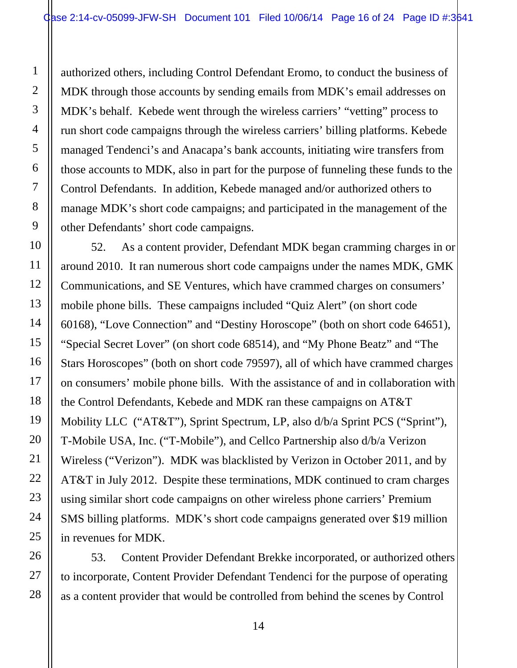authorized others, including Control Defendant Eromo, to conduct the business of MDK through those accounts by sending emails from MDK's email addresses on MDK's behalf. Kebede went through the wireless carriers' "vetting" process to run short code campaigns through the wireless carriers' billing platforms. Kebede managed Tendenci's and Anacapa's bank accounts, initiating wire transfers from those accounts to MDK, also in part for the purpose of funneling these funds to the Control Defendants. In addition, Kebede managed and/or authorized others to manage MDK's short code campaigns; and participated in the management of the other Defendants' short code campaigns.

52. As a content provider, Defendant MDK began cramming charges in or around 2010. It ran numerous short code campaigns under the names MDK, GMK Communications, and SE Ventures, which have crammed charges on consumers' mobile phone bills. These campaigns included "Quiz Alert" (on short code 60168), "Love Connection" and "Destiny Horoscope" (both on short code 64651), "Special Secret Lover" (on short code 68514), and "My Phone Beatz" and "The Stars Horoscopes" (both on short code 79597), all of which have crammed charges on consumers' mobile phone bills. With the assistance of and in collaboration with the Control Defendants, Kebede and MDK ran these campaigns on AT&T Mobility LLC ("AT&T"), Sprint Spectrum, LP, also d/b/a Sprint PCS ("Sprint"), T-Mobile USA, Inc. ("T-Mobile"), and Cellco Partnership also d/b/a Verizon Wireless ("Verizon"). MDK was blacklisted by Verizon in October 2011, and by AT&T in July 2012. Despite these terminations, MDK continued to cram charges using similar short code campaigns on other wireless phone carriers' Premium SMS billing platforms. MDK's short code campaigns generated over \$19 million in revenues for MDK.

53. Content Provider Defendant Brekke incorporated, or authorized others to incorporate, Content Provider Defendant Tendenci for the purpose of operating as a content provider that would be controlled from behind the scenes by Control

1

2

3

4

5

6

7

8

9

10

11

12

13

14

15

16

17

18

19

20

21

22

23

24

25

26

27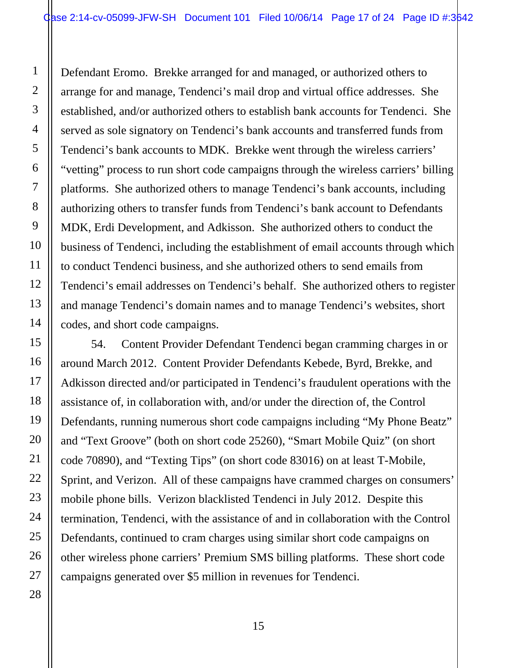1

2

3

4

5

6

7

8

9

10

11

12

13

14

15

16

17

18

19

20

21

22

23

24

25

26

27

28

Defendant Eromo. Brekke arranged for and managed, or authorized others to arrange for and manage, Tendenci's mail drop and virtual office addresses. She established, and/or authorized others to establish bank accounts for Tendenci. She served as sole signatory on Tendenci's bank accounts and transferred funds from Tendenci's bank accounts to MDK. Brekke went through the wireless carriers' "vetting" process to run short code campaigns through the wireless carriers' billing platforms. She authorized others to manage Tendenci's bank accounts, including authorizing others to transfer funds from Tendenci's bank account to Defendants MDK, Erdi Development, and Adkisson. She authorized others to conduct the business of Tendenci, including the establishment of email accounts through which to conduct Tendenci business, and she authorized others to send emails from Tendenci's email addresses on Tendenci's behalf. She authorized others to register and manage Tendenci's domain names and to manage Tendenci's websites, short codes, and short code campaigns.

54. Content Provider Defendant Tendenci began cramming charges in or around March 2012. Content Provider Defendants Kebede, Byrd, Brekke, and Adkisson directed and/or participated in Tendenci's fraudulent operations with the assistance of, in collaboration with, and/or under the direction of, the Control Defendants, running numerous short code campaigns including "My Phone Beatz" and "Text Groove" (both on short code 25260), "Smart Mobile Quiz" (on short code 70890), and "Texting Tips" (on short code 83016) on at least T-Mobile, Sprint, and Verizon. All of these campaigns have crammed charges on consumers' mobile phone bills. Verizon blacklisted Tendenci in July 2012. Despite this termination, Tendenci, with the assistance of and in collaboration with the Control Defendants, continued to cram charges using similar short code campaigns on other wireless phone carriers' Premium SMS billing platforms. These short code campaigns generated over \$5 million in revenues for Tendenci.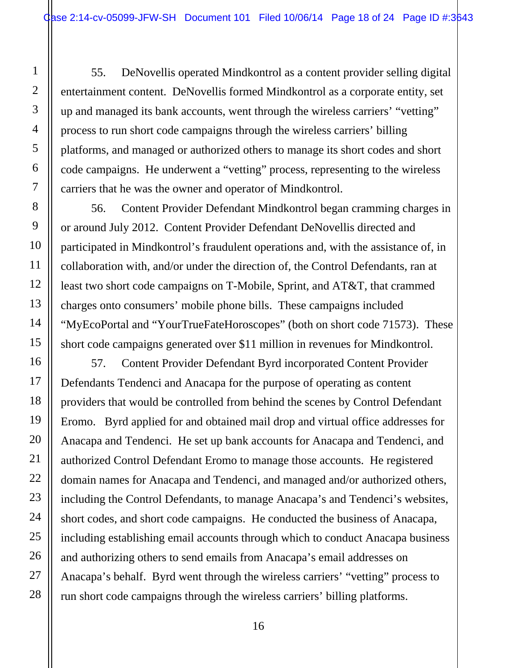55. DeNovellis operated Mindkontrol as a content provider selling digital entertainment content. DeNovellis formed Mindkontrol as a corporate entity, set up and managed its bank accounts, went through the wireless carriers' "vetting" process to run short code campaigns through the wireless carriers' billing platforms, and managed or authorized others to manage its short codes and short code campaigns. He underwent a "vetting" process, representing to the wireless carriers that he was the owner and operator of Mindkontrol.

56. Content Provider Defendant Mindkontrol began cramming charges in or around July 2012. Content Provider Defendant DeNovellis directed and participated in Mindkontrol's fraudulent operations and, with the assistance of, in collaboration with, and/or under the direction of, the Control Defendants, ran at least two short code campaigns on T-Mobile, Sprint, and AT&T, that crammed charges onto consumers' mobile phone bills. These campaigns included "MyEcoPortal and "YourTrueFateHoroscopes" (both on short code 71573). These short code campaigns generated over \$11 million in revenues for Mindkontrol.

57. Content Provider Defendant Byrd incorporated Content Provider Defendants Tendenci and Anacapa for the purpose of operating as content providers that would be controlled from behind the scenes by Control Defendant Eromo. Byrd applied for and obtained mail drop and virtual office addresses for Anacapa and Tendenci. He set up bank accounts for Anacapa and Tendenci, and authorized Control Defendant Eromo to manage those accounts. He registered domain names for Anacapa and Tendenci, and managed and/or authorized others, including the Control Defendants, to manage Anacapa's and Tendenci's websites, short codes, and short code campaigns. He conducted the business of Anacapa, including establishing email accounts through which to conduct Anacapa business and authorizing others to send emails from Anacapa's email addresses on Anacapa's behalf. Byrd went through the wireless carriers' "vetting" process to run short code campaigns through the wireless carriers' billing platforms.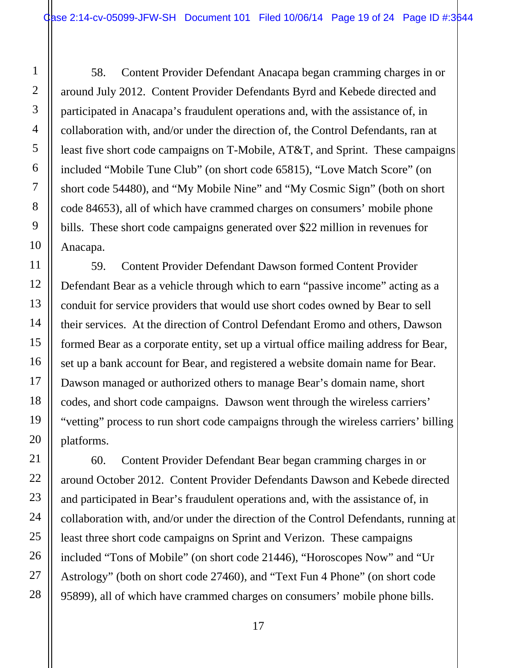58. Content Provider Defendant Anacapa began cramming charges in or around July 2012. Content Provider Defendants Byrd and Kebede directed and participated in Anacapa's fraudulent operations and, with the assistance of, in collaboration with, and/or under the direction of, the Control Defendants, ran at least five short code campaigns on T-Mobile, AT&T, and Sprint. These campaigns included "Mobile Tune Club" (on short code 65815), "Love Match Score" (on short code 54480), and "My Mobile Nine" and "My Cosmic Sign" (both on short code 84653), all of which have crammed charges on consumers' mobile phone bills. These short code campaigns generated over \$22 million in revenues for Anacapa.

59. Content Provider Defendant Dawson formed Content Provider Defendant Bear as a vehicle through which to earn "passive income" acting as a conduit for service providers that would use short codes owned by Bear to sell their services. At the direction of Control Defendant Eromo and others, Dawson formed Bear as a corporate entity, set up a virtual office mailing address for Bear, set up a bank account for Bear, and registered a website domain name for Bear. Dawson managed or authorized others to manage Bear's domain name, short codes, and short code campaigns. Dawson went through the wireless carriers' "vetting" process to run short code campaigns through the wireless carriers' billing platforms.

60. Content Provider Defendant Bear began cramming charges in or around October 2012. Content Provider Defendants Dawson and Kebede directed and participated in Bear's fraudulent operations and, with the assistance of, in collaboration with, and/or under the direction of the Control Defendants, running at least three short code campaigns on Sprint and Verizon. These campaigns included "Tons of Mobile" (on short code 21446), "Horoscopes Now" and "Ur Astrology" (both on short code 27460), and "Text Fun 4 Phone" (on short code 95899), all of which have crammed charges on consumers' mobile phone bills.

28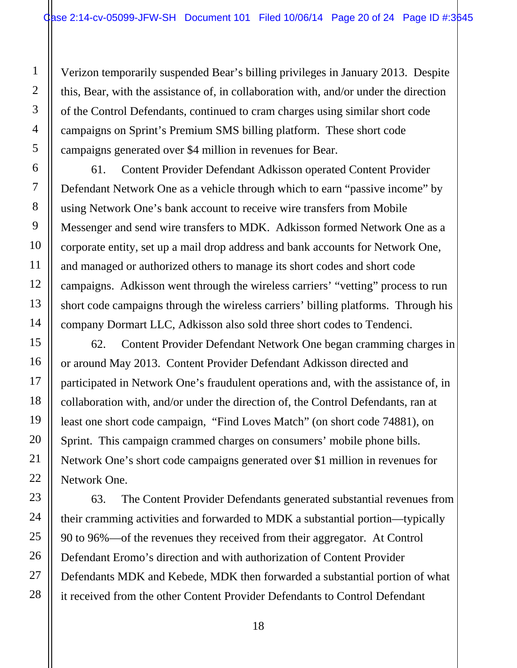Verizon temporarily suspended Bear's billing privileges in January 2013. Despite this, Bear, with the assistance of, in collaboration with, and/or under the direction of the Control Defendants, continued to cram charges using similar short code campaigns on Sprint's Premium SMS billing platform. These short code campaigns generated over \$4 million in revenues for Bear.

61. Content Provider Defendant Adkisson operated Content Provider Defendant Network One as a vehicle through which to earn "passive income" by using Network One's bank account to receive wire transfers from Mobile Messenger and send wire transfers to MDK. Adkisson formed Network One as a corporate entity, set up a mail drop address and bank accounts for Network One, and managed or authorized others to manage its short codes and short code campaigns. Adkisson went through the wireless carriers' "vetting" process to run short code campaigns through the wireless carriers' billing platforms. Through his company Dormart LLC, Adkisson also sold three short codes to Tendenci.

62. Content Provider Defendant Network One began cramming charges in or around May 2013. Content Provider Defendant Adkisson directed and participated in Network One's fraudulent operations and, with the assistance of, in collaboration with, and/or under the direction of, the Control Defendants, ran at least one short code campaign, "Find Loves Match" (on short code 74881), on Sprint. This campaign crammed charges on consumers' mobile phone bills. Network One's short code campaigns generated over \$1 million in revenues for Network One.

63. The Content Provider Defendants generated substantial revenues from their cramming activities and forwarded to MDK a substantial portion—typically 90 to 96%—of the revenues they received from their aggregator. At Control Defendant Eromo's direction and with authorization of Content Provider Defendants MDK and Kebede, MDK then forwarded a substantial portion of what it received from the other Content Provider Defendants to Control Defendant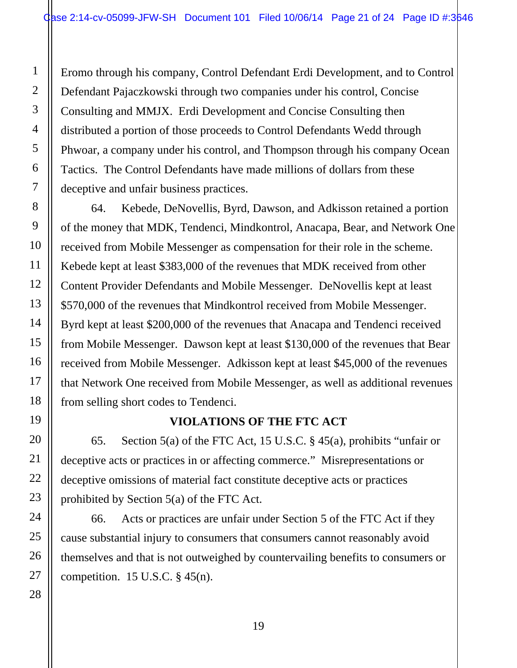Eromo through his company, Control Defendant Erdi Development, and to Control Defendant Pajaczkowski through two companies under his control, Concise Consulting and MMJX. Erdi Development and Concise Consulting then distributed a portion of those proceeds to Control Defendants Wedd through Phwoar, a company under his control, and Thompson through his company Ocean Tactics. The Control Defendants have made millions of dollars from these deceptive and unfair business practices.

1

2

3

4

5

6

7

8

9

10

11

12

13

14

15

16

17

18

19

20

21

22

23

24

25

26

27

28

64. Kebede, DeNovellis, Byrd, Dawson, and Adkisson retained a portion of the money that MDK, Tendenci, Mindkontrol, Anacapa, Bear, and Network One received from Mobile Messenger as compensation for their role in the scheme. Kebede kept at least \$383,000 of the revenues that MDK received from other Content Provider Defendants and Mobile Messenger. DeNovellis kept at least \$570,000 of the revenues that Mindkontrol received from Mobile Messenger. Byrd kept at least \$200,000 of the revenues that Anacapa and Tendenci received from Mobile Messenger. Dawson kept at least \$130,000 of the revenues that Bear received from Mobile Messenger. Adkisson kept at least \$45,000 of the revenues that Network One received from Mobile Messenger, as well as additional revenues from selling short codes to Tendenci.

## **VIOLATIONS OF THE FTC ACT**

65. Section 5(a) of the FTC Act, 15 U.S.C. § 45(a), prohibits "unfair or deceptive acts or practices in or affecting commerce." Misrepresentations or deceptive omissions of material fact constitute deceptive acts or practices prohibited by Section 5(a) of the FTC Act.

66. Acts or practices are unfair under Section 5 of the FTC Act if they cause substantial injury to consumers that consumers cannot reasonably avoid themselves and that is not outweighed by countervailing benefits to consumers or competition. 15 U.S.C.  $\S$  45(n).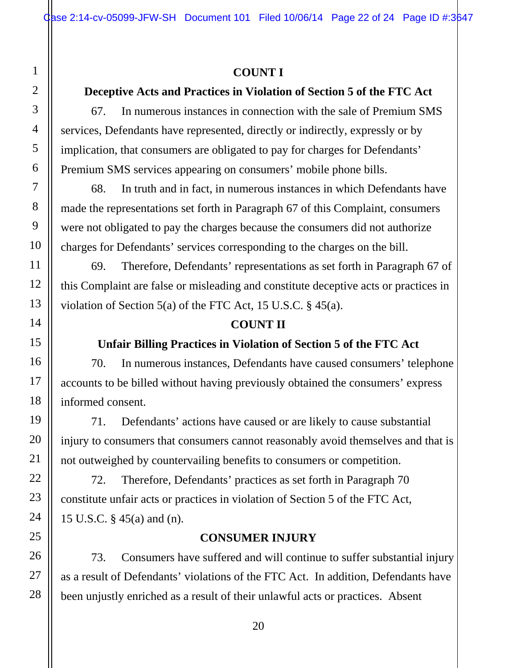# **COUNT I**

# **Deceptive Acts and Practices in Violation of Section 5 of the FTC Act**

67. In numerous instances in connection with the sale of Premium SMS services, Defendants have represented, directly or indirectly, expressly or by implication, that consumers are obligated to pay for charges for Defendants' Premium SMS services appearing on consumers' mobile phone bills.

68. In truth and in fact, in numerous instances in which Defendants have made the representations set forth in Paragraph 67 of this Complaint, consumers were not obligated to pay the charges because the consumers did not authorize charges for Defendants' services corresponding to the charges on the bill.

69. Therefore, Defendants' representations as set forth in Paragraph 67 of this Complaint are false or misleading and constitute deceptive acts or practices in violation of Section 5(a) of the FTC Act, 15 U.S.C.  $\S$  45(a).

## **COUNT II**

## **Unfair Billing Practices in Violation of Section 5 of the FTC Act**

70. In numerous instances, Defendants have caused consumers' telephone accounts to be billed without having previously obtained the consumers' express informed consent.

71. Defendants' actions have caused or are likely to cause substantial injury to consumers that consumers cannot reasonably avoid themselves and that is not outweighed by countervailing benefits to consumers or competition.

72. Therefore, Defendants' practices as set forth in Paragraph 70 constitute unfair acts or practices in violation of Section 5 of the FTC Act, 15 U.S.C. § 45(a) and (n).

### **CONSUMER INJURY**

73. Consumers have suffered and will continue to suffer substantial injury as a result of Defendants' violations of the FTC Act. In addition, Defendants have been unjustly enriched as a result of their unlawful acts or practices. Absent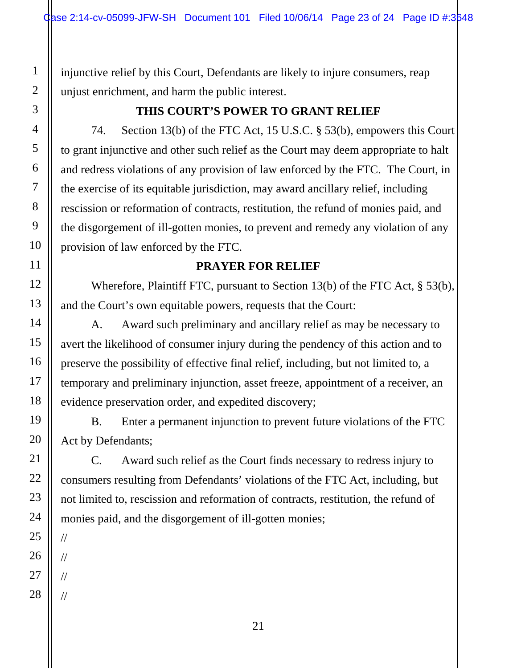injunctive relief by this Court, Defendants are likely to injure consumers, reap unjust enrichment, and harm the public interest.

- 1 2 3 4 5 6 7 8 9 10 11 12 13 14 15 16 17 18 19 20 21 22 23 24 25 26 27
- //

//

//

//

28

**THIS COURT'S POWER TO GRANT RELIEF** 

74. Section 13(b) of the FTC Act, 15 U.S.C. § 53(b), empowers this Court to grant injunctive and other such relief as the Court may deem appropriate to halt and redress violations of any provision of law enforced by the FTC. The Court, in the exercise of its equitable jurisdiction, may award ancillary relief, including rescission or reformation of contracts, restitution, the refund of monies paid, and the disgorgement of ill-gotten monies, to prevent and remedy any violation of any provision of law enforced by the FTC.

## **PRAYER FOR RELIEF**

Wherefore, Plaintiff FTC, pursuant to Section 13(b) of the FTC Act, § 53(b), and the Court's own equitable powers, requests that the Court:

A. Award such preliminary and ancillary relief as may be necessary to avert the likelihood of consumer injury during the pendency of this action and to preserve the possibility of effective final relief, including, but not limited to, a temporary and preliminary injunction, asset freeze, appointment of a receiver, an evidence preservation order, and expedited discovery;

B. Enter a permanent injunction to prevent future violations of the FTC Act by Defendants;

C. Award such relief as the Court finds necessary to redress injury to consumers resulting from Defendants' violations of the FTC Act, including, but not limited to, rescission and reformation of contracts, restitution, the refund of monies paid, and the disgorgement of ill-gotten monies;